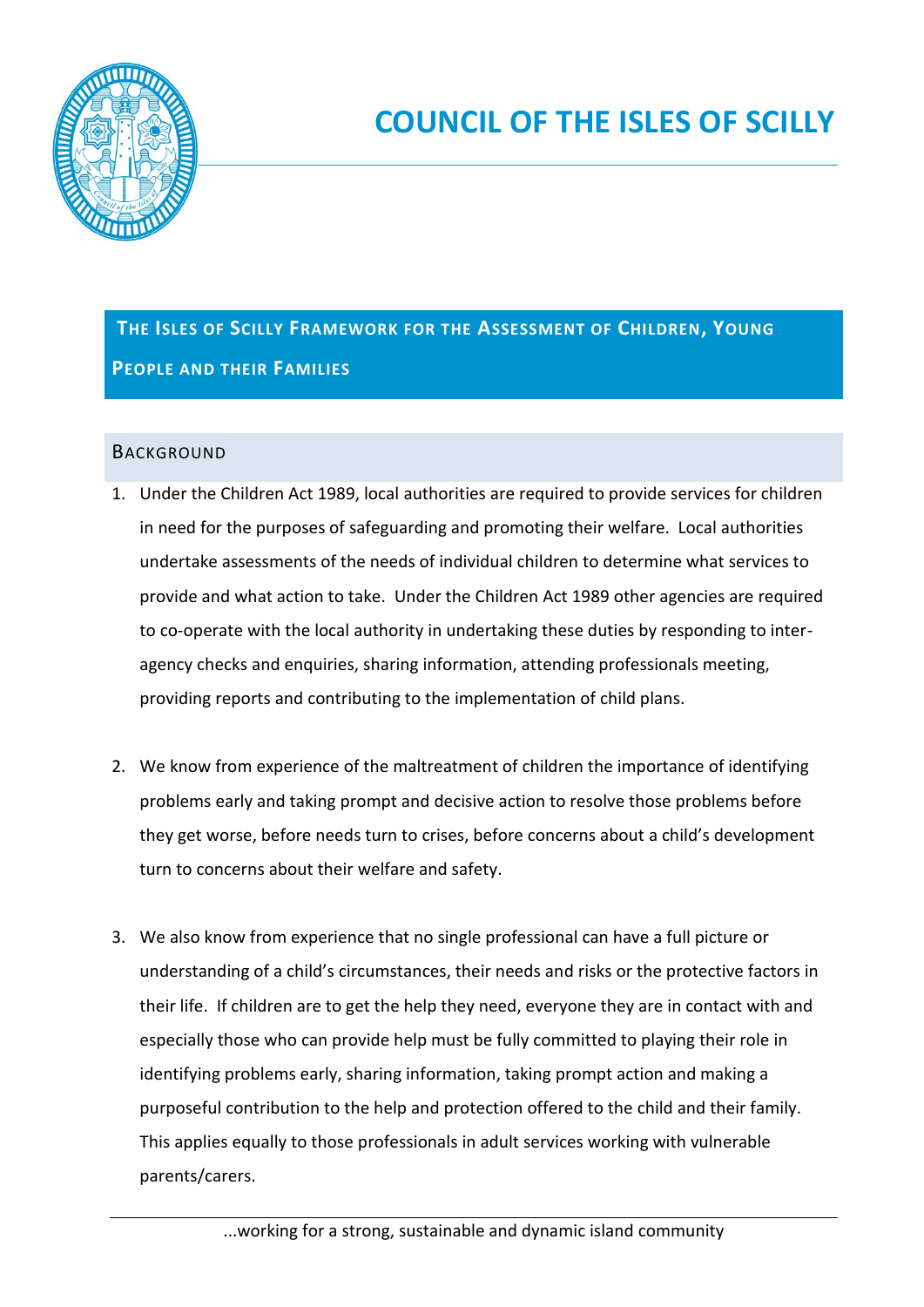

# **THE ISLES OF SCILLY FRAMEWORK FOR THE ASSESSMENT OF CHILDREN, YOUNG PEOPLE AND THEIR FAMILIES**

# **BACKGROUND**

- 1. Under the Children Act 1989, local authorities are required to provide services for children in need for the purposes of safeguarding and promoting their welfare. Local authorities undertake assessments of the needs of individual children to determine what services to provide and what action to take. Under the Children Act 1989 other agencies are required to co-operate with the local authority in undertaking these duties by responding to interagency checks and enquiries, sharing information, attending professionals meeting, providing reports and contributing to the implementation of child plans.
- 2. We know from experience of the maltreatment of children the importance of identifying problems early and taking prompt and decisive action to resolve those problems before they get worse, before needs turn to crises, before concerns about a child's development turn to concerns about their welfare and safety.
- 3. We also know from experience that no single professional can have a full picture or understanding of a child's circumstances, their needs and risks or the protective factors in their life. If children are to get the help they need, everyone they are in contact with and especially those who can provide help must be fully committed to playing their role in identifying problems early, sharing information, taking prompt action and making a purposeful contribution to the help and protection offered to the child and their family. This applies equally to those professionals in adult services working with vulnerable parents/carers.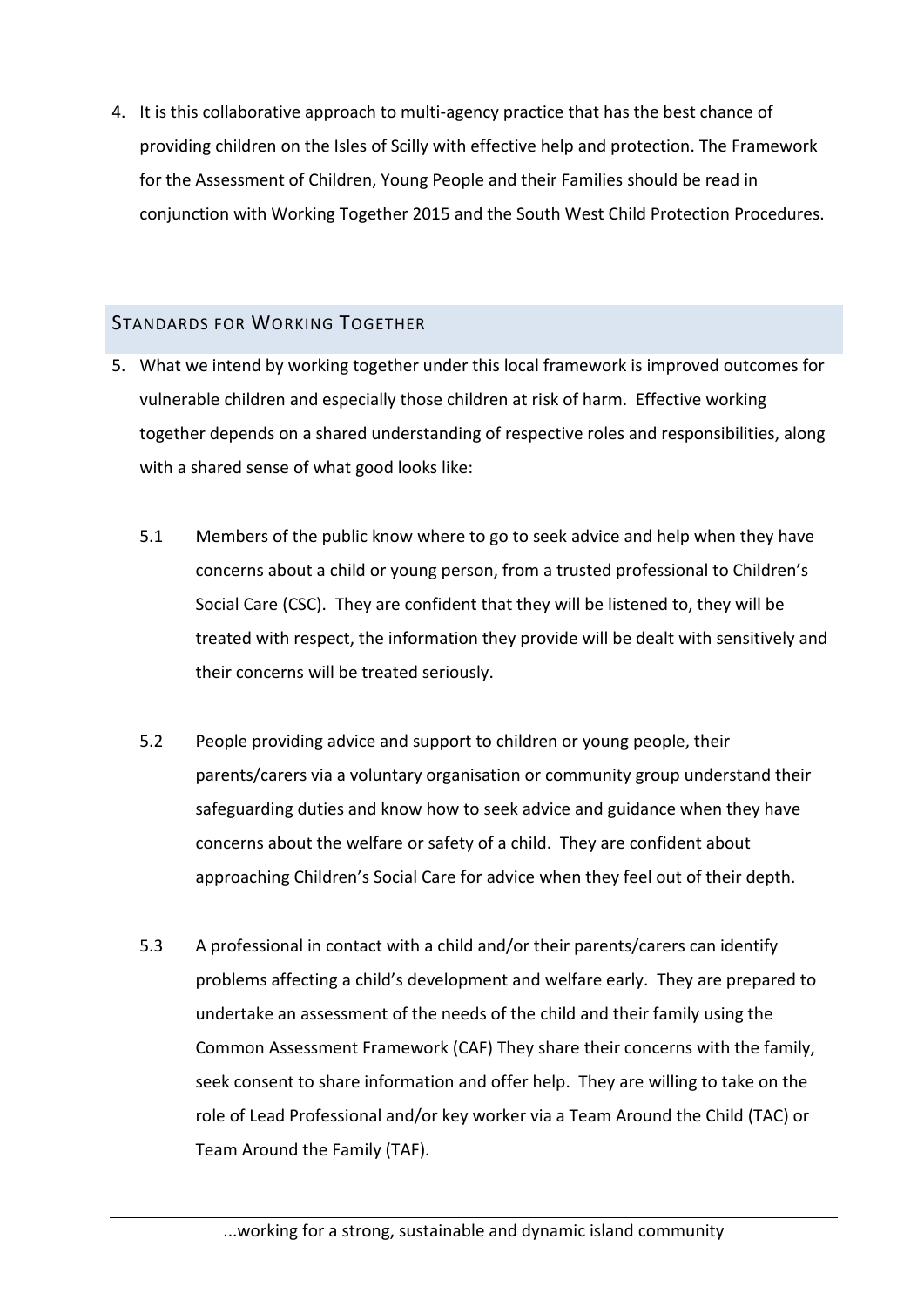4. It is this collaborative approach to multi-agency practice that has the best chance of providing children on the Isles of Scilly with effective help and protection. The Framework for the Assessment of Children, Young People and their Families should be read in conjunction with Working Together 2015 and the South West Child Protection Procedures.

## STANDARDS FOR WORKING TOGETHER

- 5. What we intend by working together under this local framework is improved outcomes for vulnerable children and especially those children at risk of harm. Effective working together depends on a shared understanding of respective roles and responsibilities, along with a shared sense of what good looks like:
	- 5.1 Members of the public know where to go to seek advice and help when they have concerns about a child or young person, from a trusted professional to Children's Social Care (CSC). They are confident that they will be listened to, they will be treated with respect, the information they provide will be dealt with sensitively and their concerns will be treated seriously.
	- 5.2 People providing advice and support to children or young people, their parents/carers via a voluntary organisation or community group understand their safeguarding duties and know how to seek advice and guidance when they have concerns about the welfare or safety of a child. They are confident about approaching Children's Social Care for advice when they feel out of their depth.
	- 5.3 A professional in contact with a child and/or their parents/carers can identify problems affecting a child's development and welfare early. They are prepared to undertake an assessment of the needs of the child and their family using the Common Assessment Framework (CAF) They share their concerns with the family, seek consent to share information and offer help. They are willing to take on the role of Lead Professional and/or key worker via a Team Around the Child (TAC) or Team Around the Family (TAF).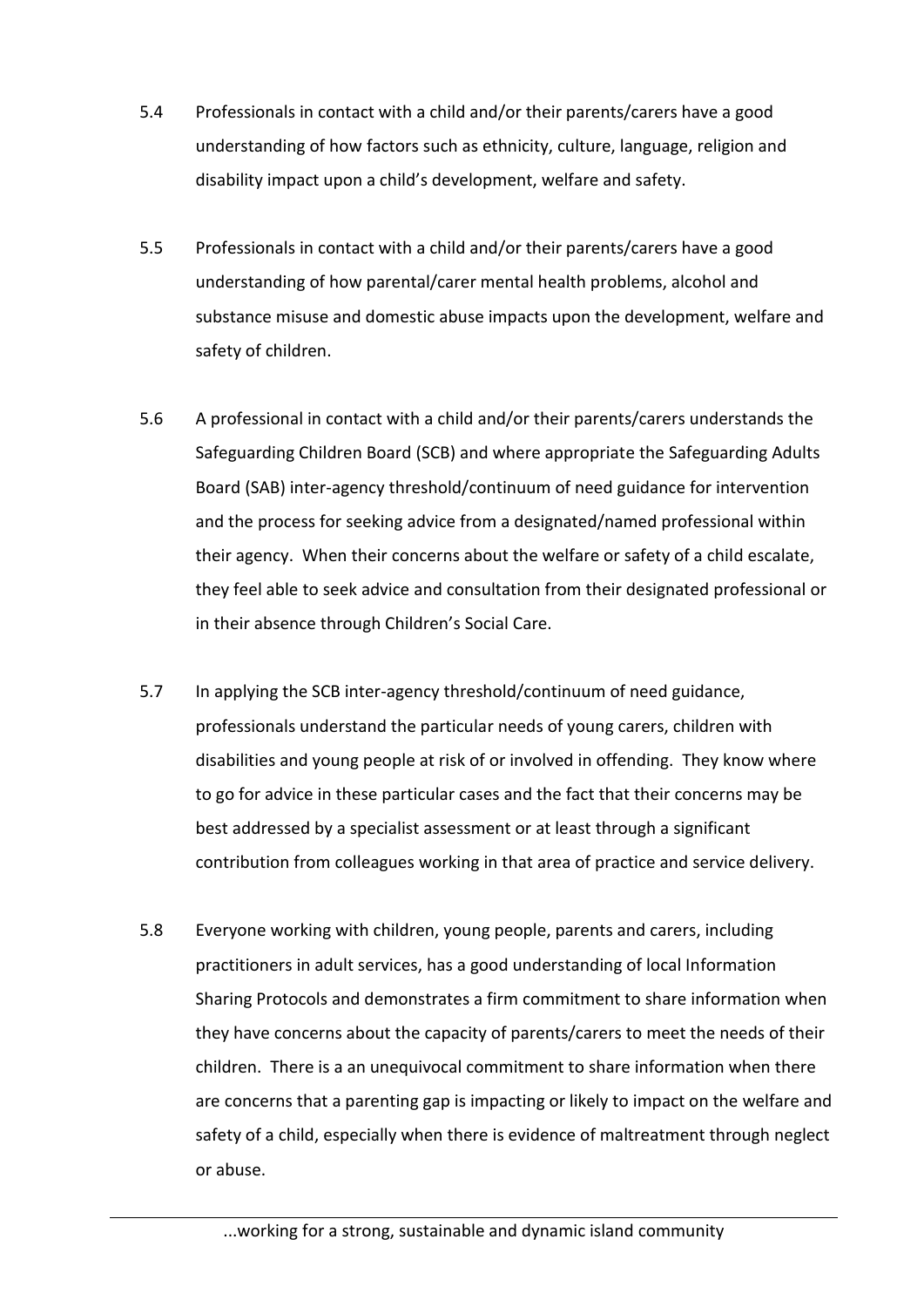- 5.4 Professionals in contact with a child and/or their parents/carers have a good understanding of how factors such as ethnicity, culture, language, religion and disability impact upon a child's development, welfare and safety.
- 5.5 Professionals in contact with a child and/or their parents/carers have a good understanding of how parental/carer mental health problems, alcohol and substance misuse and domestic abuse impacts upon the development, welfare and safety of children.
- 5.6 A professional in contact with a child and/or their parents/carers understands the Safeguarding Children Board (SCB) and where appropriate the Safeguarding Adults Board (SAB) inter-agency threshold/continuum of need guidance for intervention and the process for seeking advice from a designated/named professional within their agency. When their concerns about the welfare or safety of a child escalate, they feel able to seek advice and consultation from their designated professional or in their absence through Children's Social Care.
- 5.7 In applying the SCB inter-agency threshold/continuum of need guidance, professionals understand the particular needs of young carers, children with disabilities and young people at risk of or involved in offending. They know where to go for advice in these particular cases and the fact that their concerns may be best addressed by a specialist assessment or at least through a significant contribution from colleagues working in that area of practice and service delivery.
- 5.8 Everyone working with children, young people, parents and carers, including practitioners in adult services, has a good understanding of local Information Sharing Protocols and demonstrates a firm commitment to share information when they have concerns about the capacity of parents/carers to meet the needs of their children. There is a an unequivocal commitment to share information when there are concerns that a parenting gap is impacting or likely to impact on the welfare and safety of a child, especially when there is evidence of maltreatment through neglect or abuse.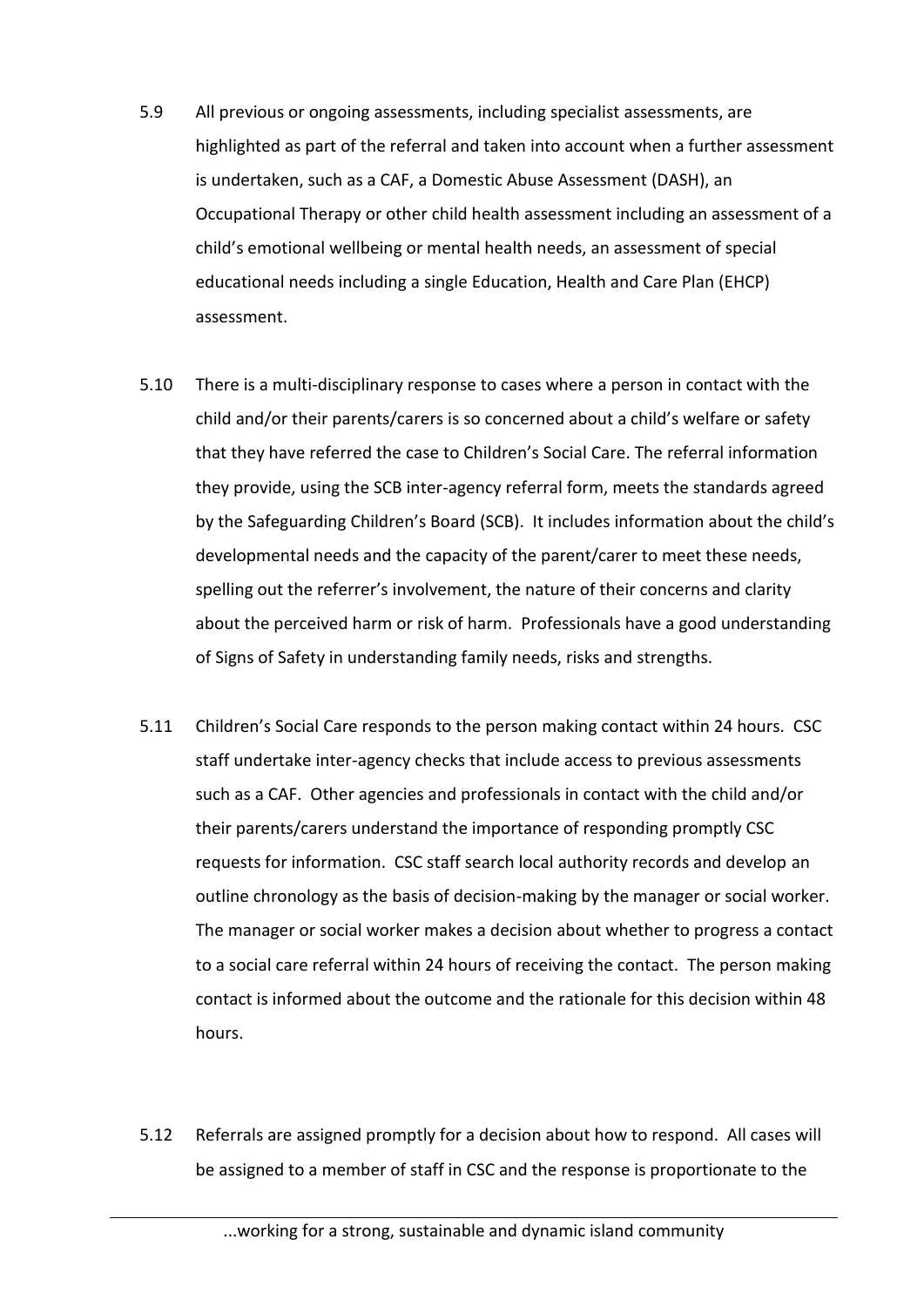- 5.9 All previous or ongoing assessments, including specialist assessments, are highlighted as part of the referral and taken into account when a further assessment is undertaken, such as a CAF, a Domestic Abuse Assessment (DASH), an Occupational Therapy or other child health assessment including an assessment of a child's emotional wellbeing or mental health needs, an assessment of special educational needs including a single Education, Health and Care Plan (EHCP) assessment.
- 5.10 There is a multi-disciplinary response to cases where a person in contact with the child and/or their parents/carers is so concerned about a child's welfare or safety that they have referred the case to Children's Social Care. The referral information they provide, using the SCB inter-agency referral form, meets the standards agreed by the Safeguarding Children's Board (SCB). It includes information about the child's developmental needs and the capacity of the parent/carer to meet these needs, spelling out the referrer's involvement, the nature of their concerns and clarity about the perceived harm or risk of harm. Professionals have a good understanding of Signs of Safety in understanding family needs, risks and strengths.
- 5.11 Children's Social Care responds to the person making contact within 24 hours. CSC staff undertake inter-agency checks that include access to previous assessments such as a CAF. Other agencies and professionals in contact with the child and/or their parents/carers understand the importance of responding promptly CSC requests for information. CSC staff search local authority records and develop an outline chronology as the basis of decision-making by the manager or social worker. The manager or social worker makes a decision about whether to progress a contact to a social care referral within 24 hours of receiving the contact. The person making contact is informed about the outcome and the rationale for this decision within 48 hours.
- 5.12 Referrals are assigned promptly for a decision about how to respond. All cases will be assigned to a member of staff in CSC and the response is proportionate to the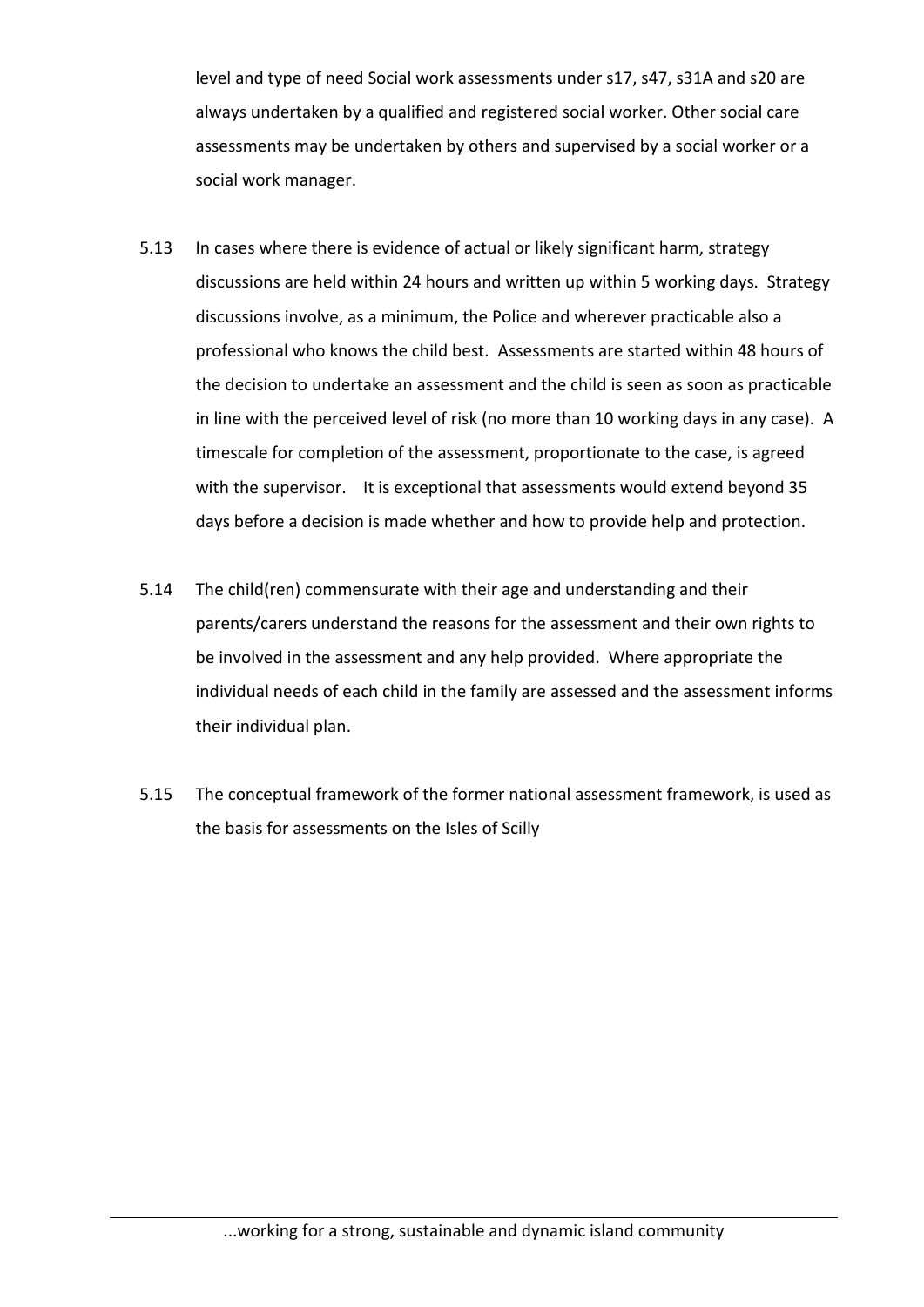level and type of need Social work assessments under s17, s47, s31A and s20 are always undertaken by a qualified and registered social worker. Other social care assessments may be undertaken by others and supervised by a social worker or a social work manager.

- 5.13 In cases where there is evidence of actual or likely significant harm, strategy discussions are held within 24 hours and written up within 5 working days. Strategy discussions involve, as a minimum, the Police and wherever practicable also a professional who knows the child best. Assessments are started within 48 hours of the decision to undertake an assessment and the child is seen as soon as practicable in line with the perceived level of risk (no more than 10 working days in any case). A timescale for completion of the assessment, proportionate to the case, is agreed with the supervisor. It is exceptional that assessments would extend beyond 35 days before a decision is made whether and how to provide help and protection.
- 5.14 The child(ren) commensurate with their age and understanding and their parents/carers understand the reasons for the assessment and their own rights to be involved in the assessment and any help provided. Where appropriate the individual needs of each child in the family are assessed and the assessment informs their individual plan.
- 5.15 The conceptual framework of the former national assessment framework, is used as the basis for assessments on the Isles of Scilly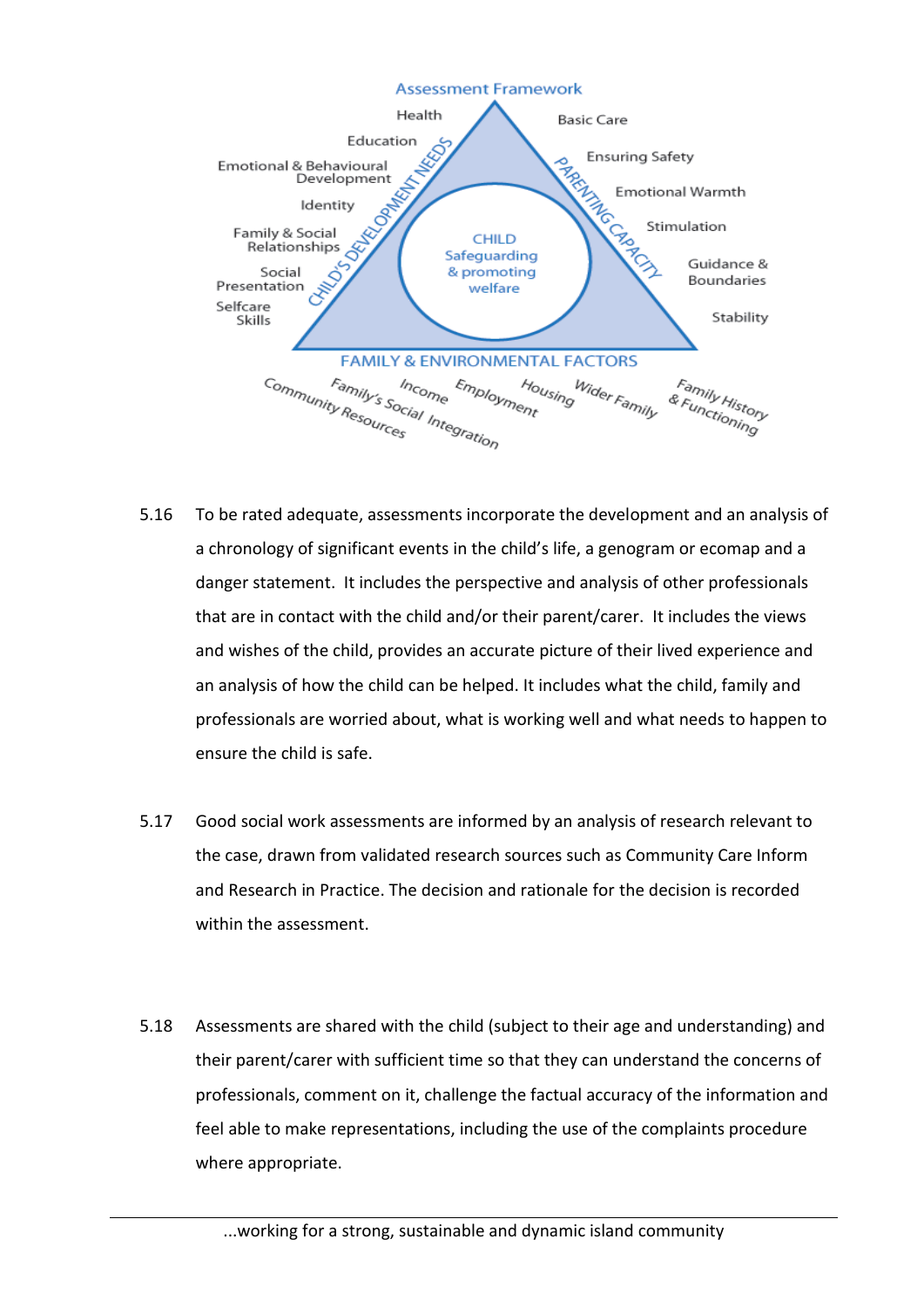

- 5.16 To be rated adequate, assessments incorporate the development and an analysis of a chronology of significant events in the child's life, a genogram or ecomap and a danger statement. It includes the perspective and analysis of other professionals that are in contact with the child and/or their parent/carer. It includes the views and wishes of the child, provides an accurate picture of their lived experience and an analysis of how the child can be helped. It includes what the child, family and professionals are worried about, what is working well and what needs to happen to ensure the child is safe.
- 5.17 Good social work assessments are informed by an analysis of research relevant to the case, drawn from validated research sources such as Community Care Inform and Research in Practice. The decision and rationale for the decision is recorded within the assessment.
- 5.18 Assessments are shared with the child (subject to their age and understanding) and their parent/carer with sufficient time so that they can understand the concerns of professionals, comment on it, challenge the factual accuracy of the information and feel able to make representations, including the use of the complaints procedure where appropriate.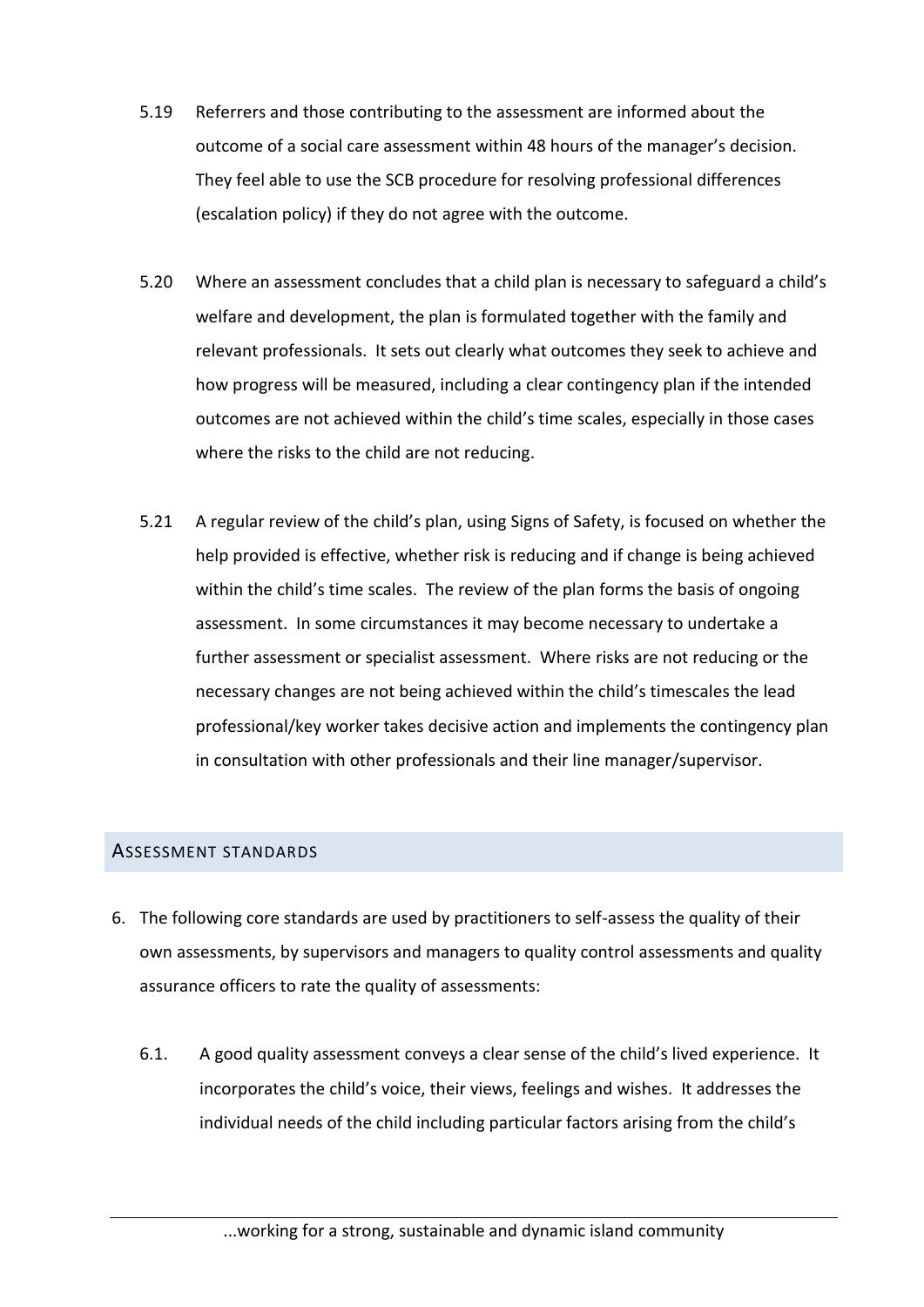- 5.19 Referrers and those contributing to the assessment are informed about the outcome of a social care assessment within 48 hours of the manager's decision. They feel able to use the SCB procedure for resolving professional differences (escalation policy) if they do not agree with the outcome.
- 5.20 Where an assessment concludes that a child plan is necessary to safeguard a child's welfare and development, the plan is formulated together with the family and relevant professionals. It sets out clearly what outcomes they seek to achieve and how progress will be measured, including a clear contingency plan if the intended outcomes are not achieved within the child's time scales, especially in those cases where the risks to the child are not reducing.
- 5.21 A regular review of the child's plan, using Signs of Safety, is focused on whether the help provided is effective, whether risk is reducing and if change is being achieved within the child's time scales. The review of the plan forms the basis of ongoing assessment. In some circumstances it may become necessary to undertake a further assessment or specialist assessment. Where risks are not reducing or the necessary changes are not being achieved within the child's timescales the lead professional/key worker takes decisive action and implements the contingency plan in consultation with other professionals and their line manager/supervisor.

### ASSESSMENT STANDARDS

- 6. The following core standards are used by practitioners to self-assess the quality of their own assessments, by supervisors and managers to quality control assessments and quality assurance officers to rate the quality of assessments:
	- 6.1. A good quality assessment conveys a clear sense of the child's lived experience. It incorporates the child's voice, their views, feelings and wishes. It addresses the individual needs of the child including particular factors arising from the child's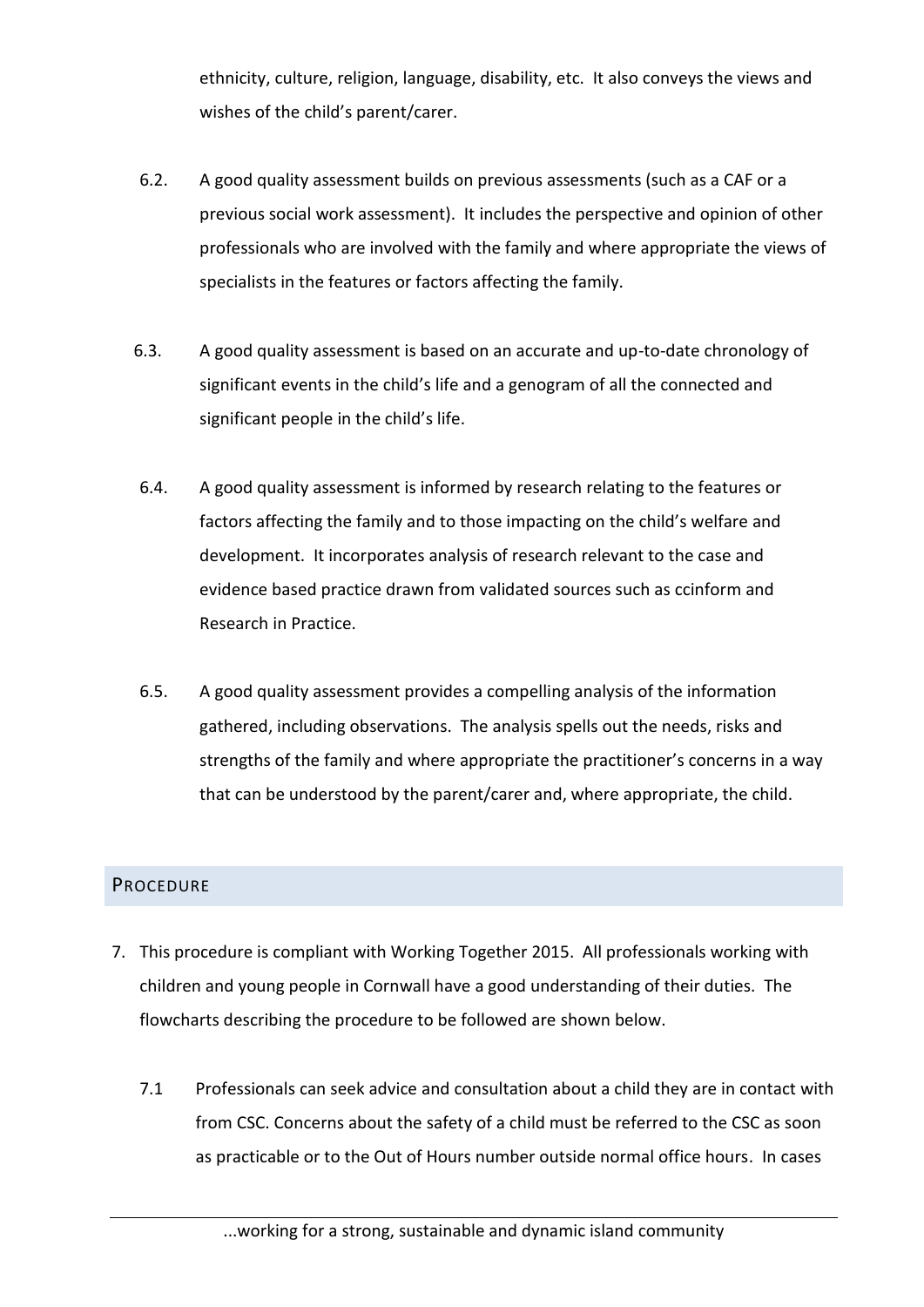ethnicity, culture, religion, language, disability, etc. It also conveys the views and wishes of the child's parent/carer.

- 6.2. A good quality assessment builds on previous assessments (such as a CAF or a previous social work assessment). It includes the perspective and opinion of other professionals who are involved with the family and where appropriate the views of specialists in the features or factors affecting the family.
- 6.3. A good quality assessment is based on an accurate and up-to-date chronology of significant events in the child's life and a genogram of all the connected and significant people in the child's life.
- 6.4. A good quality assessment is informed by research relating to the features or factors affecting the family and to those impacting on the child's welfare and development. It incorporates analysis of research relevant to the case and evidence based practice drawn from validated sources such as ccinform and Research in Practice.
- 6.5. A good quality assessment provides a compelling analysis of the information gathered, including observations. The analysis spells out the needs, risks and strengths of the family and where appropriate the practitioner's concerns in a way that can be understood by the parent/carer and, where appropriate, the child.

# **PROCEDURE**

- 7. This procedure is compliant with Working Together 2015. All professionals working with children and young people in Cornwall have a good understanding of their duties. The flowcharts describing the procedure to be followed are shown below.
	- 7.1 Professionals can seek advice and consultation about a child they are in contact with from CSC. Concerns about the safety of a child must be referred to the CSC as soon as practicable or to the Out of Hours number outside normal office hours. In cases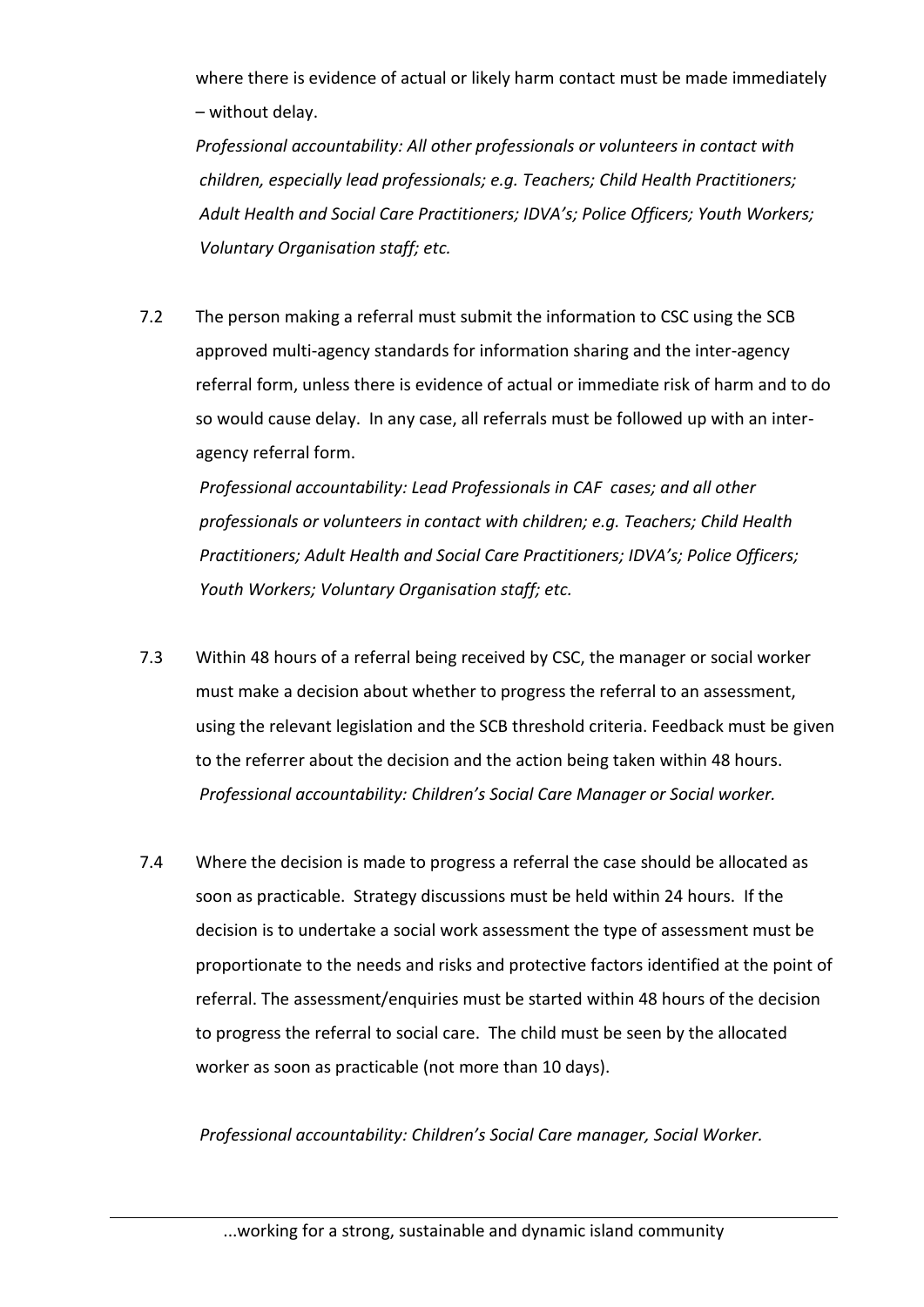where there is evidence of actual or likely harm contact must be made immediately – without delay.

*Professional accountability: All other professionals or volunteers in contact with children, especially lead professionals; e.g. Teachers; Child Health Practitioners; Adult Health and Social Care Practitioners; IDVA's; Police Officers; Youth Workers; Voluntary Organisation staff; etc.*

7.2 The person making a referral must submit the information to CSC using the SCB approved multi-agency standards for information sharing and the inter-agency referral form, unless there is evidence of actual or immediate risk of harm and to do so would cause delay. In any case, all referrals must be followed up with an interagency referral form.

*Professional accountability: Lead Professionals in CAF cases; and all other professionals or volunteers in contact with children; e.g. Teachers; Child Health Practitioners; Adult Health and Social Care Practitioners; IDVA's; Police Officers; Youth Workers; Voluntary Organisation staff; etc.*

- 7.3 Within 48 hours of a referral being received by CSC, the manager or social worker must make a decision about whether to progress the referral to an assessment, using the relevant legislation and the SCB threshold criteria. Feedback must be given to the referrer about the decision and the action being taken within 48 hours. *Professional accountability: Children's Social Care Manager or Social worker.*
- 7.4 Where the decision is made to progress a referral the case should be allocated as soon as practicable. Strategy discussions must be held within 24 hours. If the decision is to undertake a social work assessment the type of assessment must be proportionate to the needs and risks and protective factors identified at the point of referral. The assessment/enquiries must be started within 48 hours of the decision to progress the referral to social care. The child must be seen by the allocated worker as soon as practicable (not more than 10 days).

*Professional accountability: Children's Social Care manager, Social Worker.*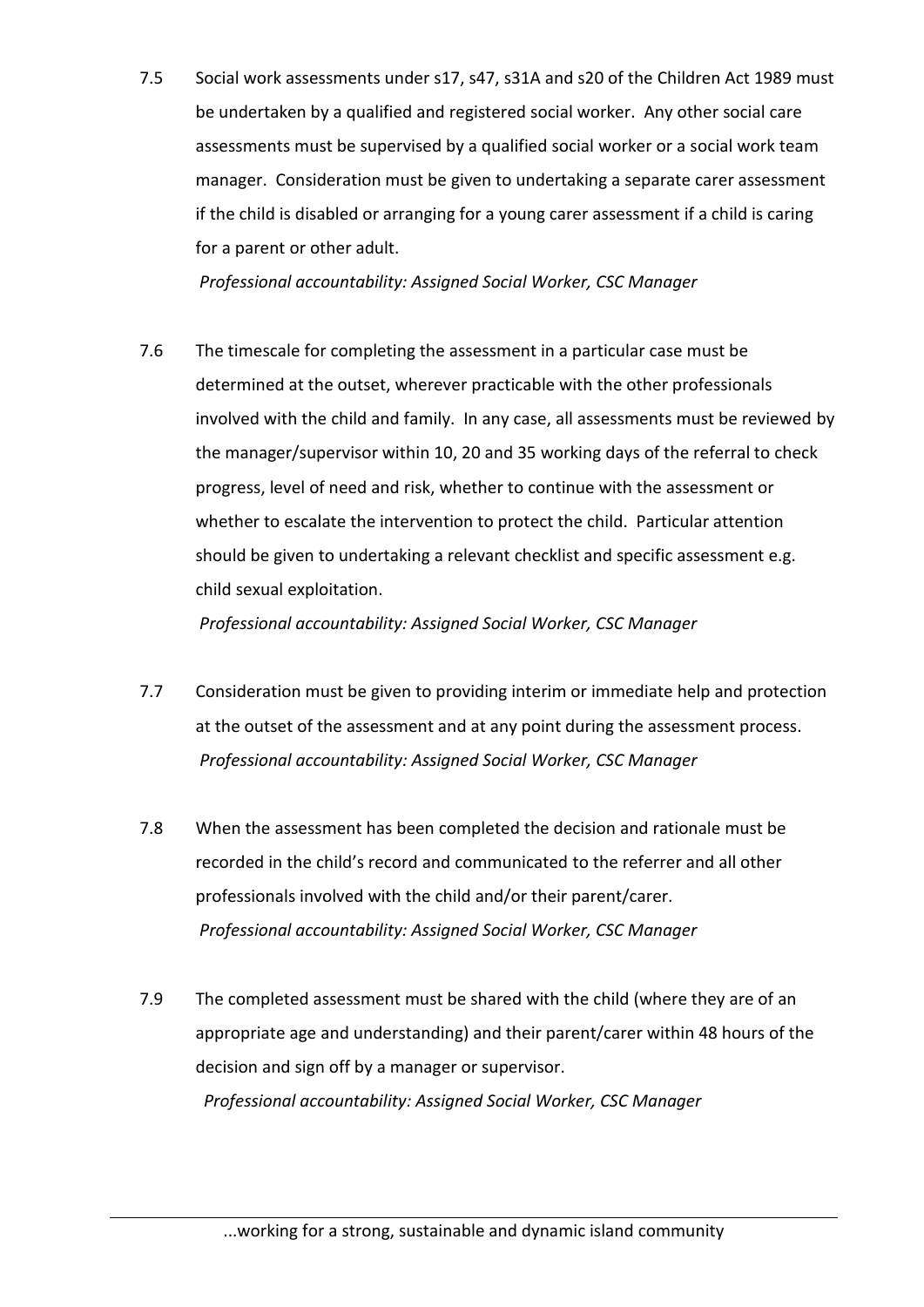7.5 Social work assessments under s17, s47, s31A and s20 of the Children Act 1989 must be undertaken by a qualified and registered social worker. Any other social care assessments must be supervised by a qualified social worker or a social work team manager. Consideration must be given to undertaking a separate carer assessment if the child is disabled or arranging for a young carer assessment if a child is caring for a parent or other adult.

*Professional accountability: Assigned Social Worker, CSC Manager*

7.6 The timescale for completing the assessment in a particular case must be determined at the outset, wherever practicable with the other professionals involved with the child and family. In any case, all assessments must be reviewed by the manager/supervisor within 10, 20 and 35 working days of the referral to check progress, level of need and risk, whether to continue with the assessment or whether to escalate the intervention to protect the child. Particular attention should be given to undertaking a relevant checklist and specific assessment e.g. child sexual exploitation.

*Professional accountability: Assigned Social Worker, CSC Manager*

- 7.7 Consideration must be given to providing interim or immediate help and protection at the outset of the assessment and at any point during the assessment process. *Professional accountability: Assigned Social Worker, CSC Manager*
- 7.8 When the assessment has been completed the decision and rationale must be recorded in the child's record and communicated to the referrer and all other professionals involved with the child and/or their parent/carer. *Professional accountability: Assigned Social Worker, CSC Manager*
- 7.9 The completed assessment must be shared with the child (where they are of an appropriate age and understanding) and their parent/carer within 48 hours of the decision and sign off by a manager or supervisor. *Professional accountability: Assigned Social Worker, CSC Manager*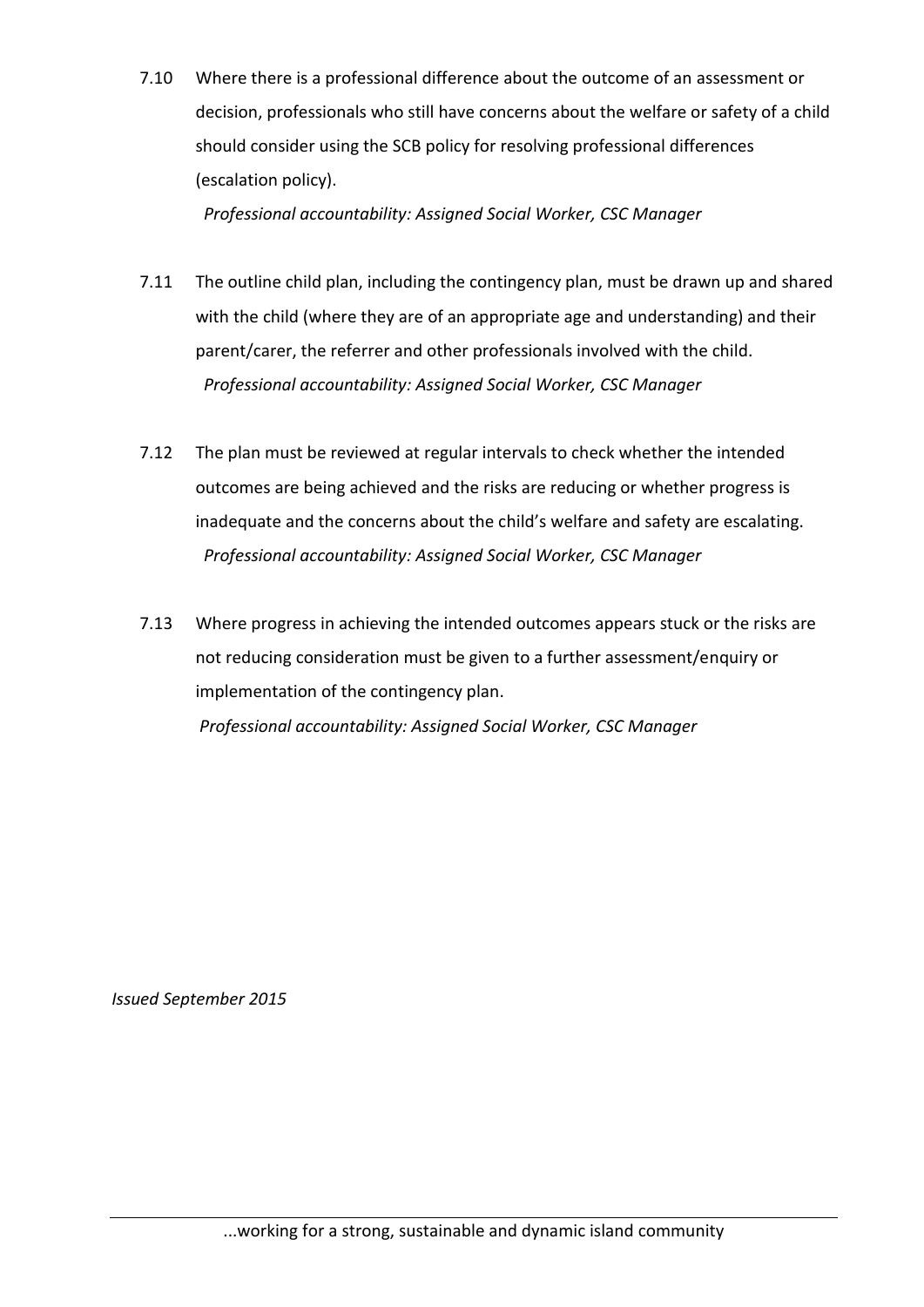7.10 Where there is a professional difference about the outcome of an assessment or decision, professionals who still have concerns about the welfare or safety of a child should consider using the SCB policy for resolving professional differences (escalation policy).

*Professional accountability: Assigned Social Worker, CSC Manager*

- 7.11 The outline child plan, including the contingency plan, must be drawn up and shared with the child (where they are of an appropriate age and understanding) and their parent/carer, the referrer and other professionals involved with the child. *Professional accountability: Assigned Social Worker, CSC Manager*
- 7.12 The plan must be reviewed at regular intervals to check whether the intended outcomes are being achieved and the risks are reducing or whether progress is inadequate and the concerns about the child's welfare and safety are escalating. *Professional accountability: Assigned Social Worker, CSC Manager*
- 7.13 Where progress in achieving the intended outcomes appears stuck or the risks are not reducing consideration must be given to a further assessment/enquiry or implementation of the contingency plan. *Professional accountability: Assigned Social Worker, CSC Manager*

*Issued September 2015*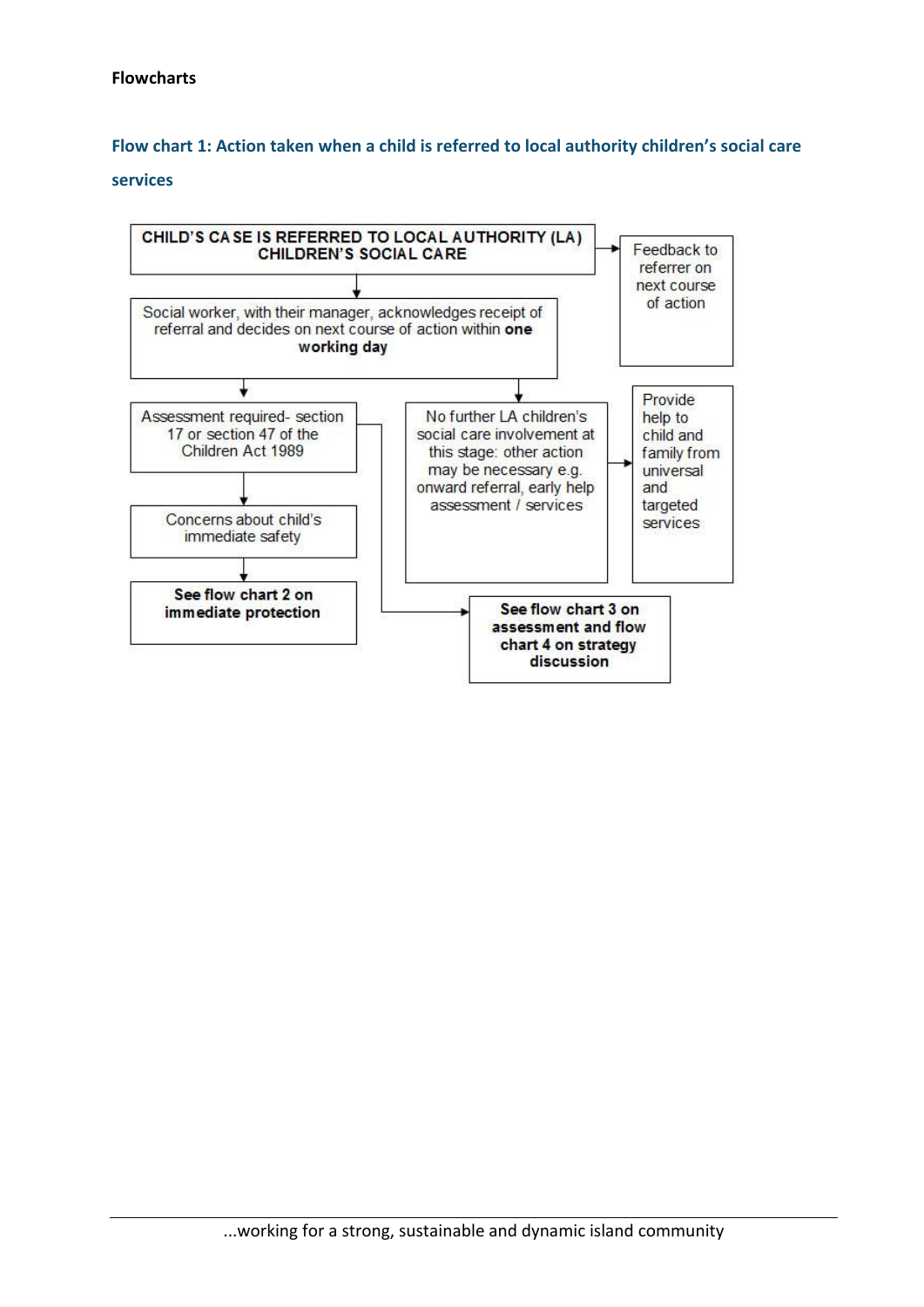## **Flow chart 1: Action taken when a child is referred to local authority children's social care**

#### **services**

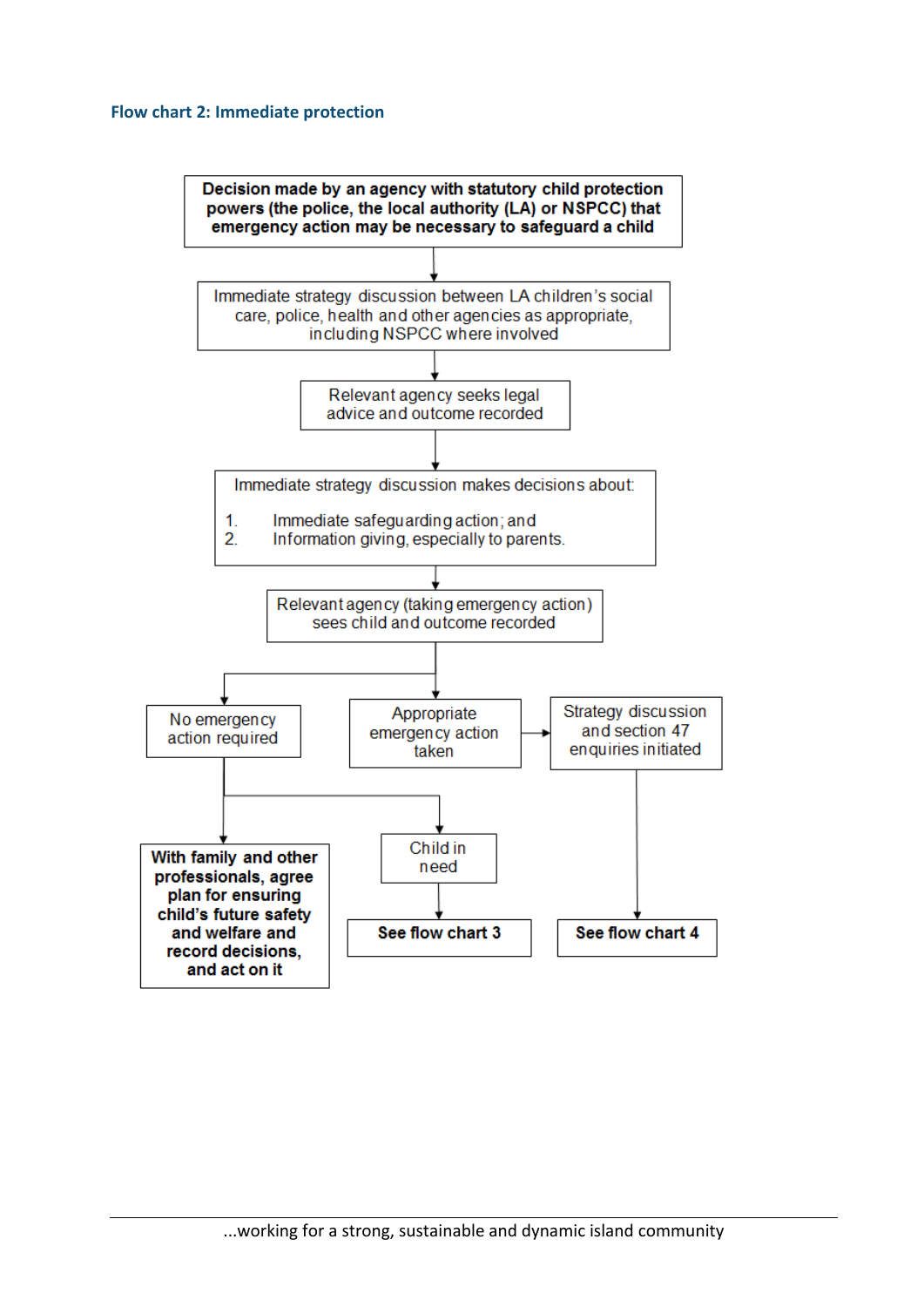#### **Flow chart 2: Immediate protection**

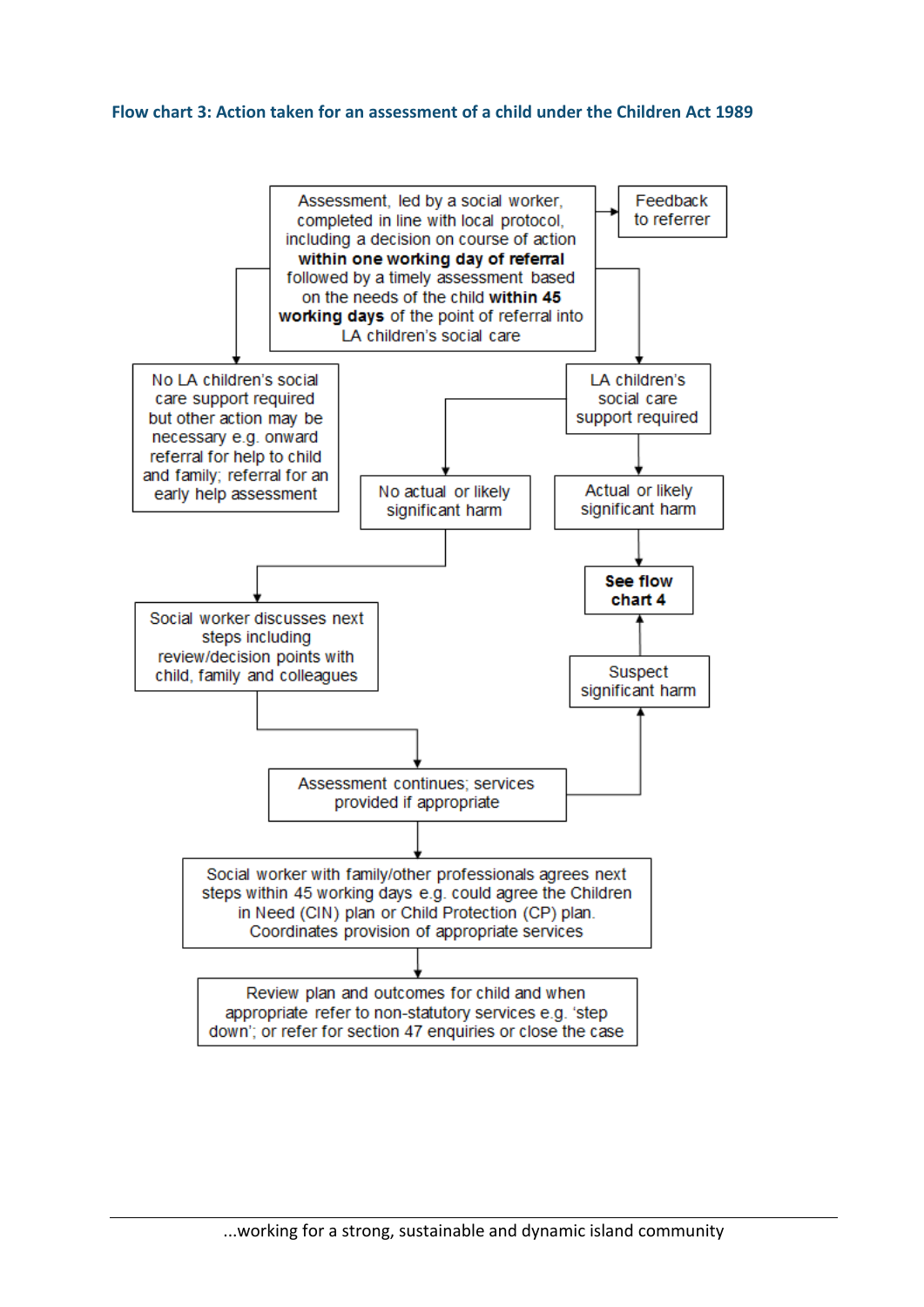#### **Flow chart 3: Action taken for an assessment of a child under the Children Act 1989**